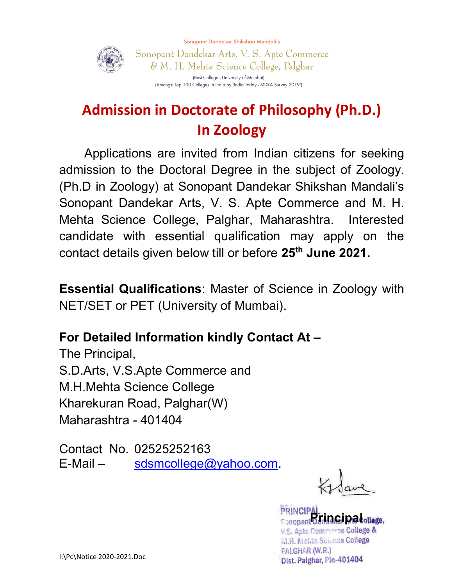Sonopant Dandekar Shikshan Mandali's



Sonopant Dandekar Arts, V. S. Apte Commerce & M. H. Mehta Science College, Palghar (Best College - University of Mumbai) (Amongst Top 100 Colleges in India by 'India Today - MDRA Survey 2019')

# Admission in Doctorate of Philosophy (Ph.D.) In Zoology

Applications are invited from Indian citizens for seeking admission to the Doctoral Degree in the subject of Zoology. (Ph.D in Zoology) at Sonopant Dandekar Shikshan Mandali's Sonopant Dandekar Arts, V. S. Apte Commerce and M. H. Mehta Science College, Palghar, Maharashtra. Interested candidate with essential qualification may apply on the contact details given below till or before 25<sup>th</sup> June 2021.

Essential Qualifications: Master of Science in Zoology with NET/SET or PET (University of Mumbai).

### For Detailed Information kindly Contact At –

The Principal, S.D.Arts, V.S.Apte Commerce and M.H.Mehta Science College Kharekuran Road, Palghar(W) Maharashtra - 401404

Contact No. 02525252163  $E$ -Mail – sdsmcollege@yahoo.com.

**PRINCIPAL**<br>**<b>Express of THOGI DO tollage** V.S. Apte Commerce College & M.H. Mehta Science College PALGHAR (W.R.) Dist. Palghar, Pin-401404